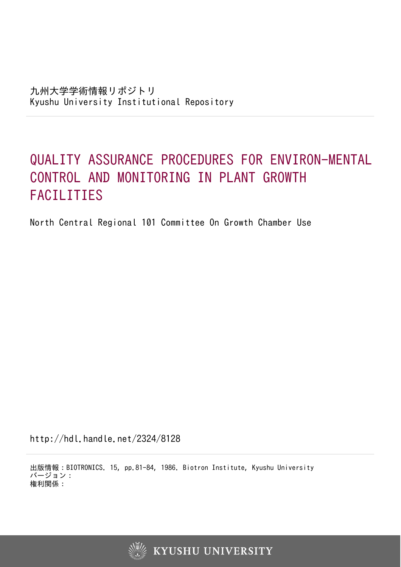# QUALITY ASSURANCE PROCEDURES FOR ENVIRON-MENTAL CONTROL AND MONITORING IN PLANT GROWTH FACILITIES

North Central Regional 101 Committee On Growth Chamber Use

http://hdl.handle.net/2324/8128

出版情報:BIOTRONICS. 15, pp.81-84, 1986. Biotron Institute, Kyushu University バージョン: 権利関係:

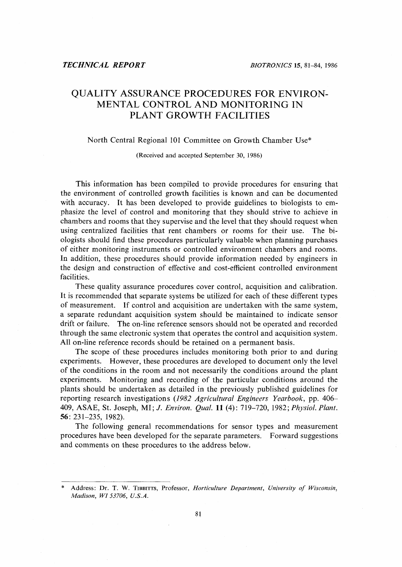## QUALITY ASSURANCE PROCEDURES FOR ENVIRON-MENTAL CONTROL AND MONITORING IN PLANT GROWTH FACILITIES

#### North Central Regional 101 Committee on Growth Chamber Use\*

(Received and accepted September 30, 1986)

This information has been compiled to provide procedures for ensuring that the environment of controlled growth facilities is known and can be documented with accuracy. It has been developed to provide guidelines to biologists to emphasize the level of control and monitoring that they should strive to achieve in chambers and rooms that they supervise and the level that they should request when using centralized facilities that rent chambers or rooms for their use. The biologists should find these procedures particularly valuable when planning purchases of either monitoring instruments or controlled environment chambers and rooms. In addition, these procedures should provide information needed by engineers in the design and construction of effective and cost-efficient controlled environment facilities.

These quality assurance procedures cover control, acquisition and calibration. It is recommended that separate systems be utilized for each of these different types of measurement. If control and acquisition are undertaken with the same system, a separate redundant acquisition system should be maintained to indicate sensor drift or failure. The on-line reference sensors should not be operated and recorded through the same electronic system that operates the control and acquisition system. All on-line reference records should be retained on a permanent basis.

The scope of these procedures includes monitoring both prior to and during experiments. However, these procedures are developed to document only the level of the conditions in the room and not necessarily the conditions around the plant experiments. Monitoring and recording of the particular conditions around the plants should be undertaken as detailed in the previously published guidelines for reporting research investigations (1982 *Agricultural Engineers Yearbook,* pp. 406- 409, ASAE, St. Joseph, MI; J. *Environ. Qual.* **11** (4): 719-720, 1982; *Physiol. Plant.* 56: 231-235, 1982).

The following general recommendations for sensor types and measurement procedures have been developed for the separate parameters. Forward suggestions and comments on these procedures to the address below.

<sup>\*</sup> Address: Dr. T. W. TIBBITTS, Professor, *Horticulture Department, University of Wisconsin, Madison, WI53706, U.S.A.*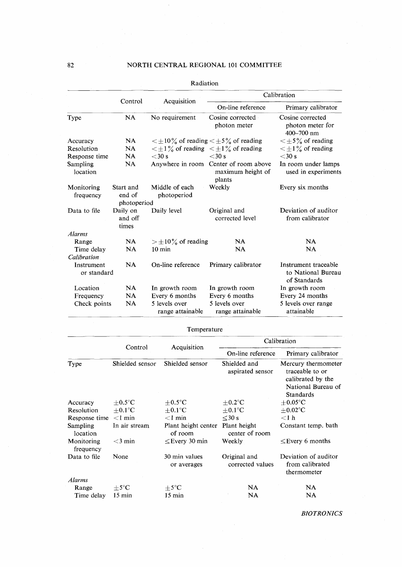|                           |                              |                                                                       | Calibration                                                          |                                                            |  |
|---------------------------|------------------------------|-----------------------------------------------------------------------|----------------------------------------------------------------------|------------------------------------------------------------|--|
|                           | Control                      | Acquisition                                                           | On-line reference                                                    | Primary calibrator                                         |  |
| Type                      | NA                           | No requirement                                                        | Cosine corrected<br>photon meter                                     | Cosine corrected<br>photon meter for<br>$400 - 700$ nm     |  |
| Accuracy                  | <b>NA</b>                    | $\langle \pm 10\%$ of reading $\langle \pm 5\%$ of reading            |                                                                      | $\leq \pm 5\%$ of reading                                  |  |
| Resolution                | <b>NA</b>                    | $\langle \pm 1 \rangle$ of reading $\langle \pm 1 \rangle$ of reading |                                                                      | $\leq \pm 1\%$ of reading                                  |  |
| Response time             | NA.                          | $<$ 30 s                                                              | $<$ 30 s                                                             | $<$ 30 s                                                   |  |
| Sampling<br>location      | NA                           |                                                                       | Anywhere in room Center of room above<br>maximum height of<br>plants | In room under lamps<br>used in experiments                 |  |
| Monitoring<br>frequency   | Start and<br>end of          | Middle of each<br>photoperiod                                         | Weekly                                                               | Every six months                                           |  |
|                           | photoperiod                  |                                                                       |                                                                      |                                                            |  |
| Data to file              | Daily on<br>and off<br>times | Daily level                                                           | Original and<br>corrected level                                      | Deviation of auditor<br>from calibrator                    |  |
| <b>Alarms</b>             |                              |                                                                       |                                                                      |                                                            |  |
| Range                     | NA.                          | $>\pm 10\%$ of reading                                                | NA.                                                                  | NA.                                                        |  |
| Time delay<br>Calibration | NA                           | $10 \text{ min}$                                                      | <b>NA</b>                                                            | <b>NA</b>                                                  |  |
| Instrument<br>or standard | <b>NA</b>                    | On-line reference                                                     | Primary calibrator                                                   | Instrument traceable<br>to National Bureau<br>of Standards |  |
| Location                  | NA                           | In growth room                                                        | In growth room                                                       | In growth room                                             |  |
| Frequency                 | NA                           | Every 6 months                                                        | Every 6 months                                                       | Every 24 months                                            |  |
| Check points              | <b>NA</b>                    | 5 levels over<br>range attainable                                     | 5 levels over<br>range attainable                                    | 5 levels over range<br>attainable                          |  |

Radiation

| Temperature |  |
|-------------|--|
|-------------|--|

|                         |                  |                                | Calibration                      |                                                                                                       |  |
|-------------------------|------------------|--------------------------------|----------------------------------|-------------------------------------------------------------------------------------------------------|--|
|                         | Control          | Acquisition                    | On-line reference                | Primary calibrator                                                                                    |  |
| Type                    | Shielded sensor  | Shielded sensor                | Shielded and<br>aspirated sensor | Mercury thermometer<br>traceable to or<br>calibrated by the<br>National Bureau of<br><b>Standards</b> |  |
| Accuracy                | $+0.5$ °C        | $+0.5$ °C                      | $+0.2$ °C                        | $+0.05^{\circ}$ C                                                                                     |  |
| Resolution              | $+0.1^{\circ}$ C | $+0.1^{\circ}$ C               | $+0.1^{\circ}$ C                 | $+0.02$ °C                                                                                            |  |
| Response time           | $<$ 1 min        | $<$ 1 min                      | $\leq$ 30 s                      | $<$ 1 h                                                                                               |  |
| Sampling<br>location    | In air stream    | Plant height center<br>of room | Plant height<br>center of room   | Constant temp. bath                                                                                   |  |
| Monitoring<br>frequency | $<$ 3 min        | $\leq$ Every 30 min            | Weekly                           | $\leq$ Every 6 months                                                                                 |  |
| Data to file            | None             | 30 min values<br>or averages   | Original and<br>corrected values | Deviation of auditor<br>from calibrated<br>thermometer                                                |  |
| Alarms                  |                  |                                |                                  |                                                                                                       |  |
| Range                   | $\pm$ 5°C        | $\pm$ 5°C                      | NA                               | NA                                                                                                    |  |
| Time delay              | $15 \text{ min}$ | $15 \text{ min}$               | NA                               | <b>NA</b>                                                                                             |  |

*BIOTRONICS*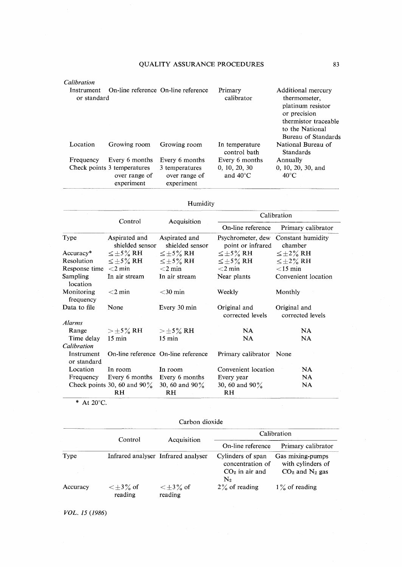| Calibration                                                      |                                                            |                                               |                                                                                                                                           |                                        |
|------------------------------------------------------------------|------------------------------------------------------------|-----------------------------------------------|-------------------------------------------------------------------------------------------------------------------------------------------|----------------------------------------|
| On-line reference On-line reference<br>Instrument<br>or standard |                                                            | Primary<br>calibrator                         | Additional mercury<br>thermometer.<br>platinum resistor<br>or precision<br>thermistor traceable<br>to the National<br>Bureau of Standards |                                        |
| Location                                                         | Growing room                                               | Growing room                                  | In temperature<br>control bath                                                                                                            | National Bureau of<br><b>Standards</b> |
| Frequency                                                        | Every 6 months                                             | Every 6 months                                | Every 6 months                                                                                                                            | Annually                               |
|                                                                  | Check points 3 temperatures<br>over range of<br>experiment | 3 temperatures<br>over range of<br>experiment | 0, 10, 20, 30<br>and $40^{\circ}$ C                                                                                                       | 0, 10, 20, 30, and<br>$40^{\circ}$ C   |

### Humidity

|                            | Control                                                              |                                     | Calibration                            |                                  |  |
|----------------------------|----------------------------------------------------------------------|-------------------------------------|----------------------------------------|----------------------------------|--|
|                            |                                                                      | Acquisition                         | On-line reference                      | Primary calibrator               |  |
| Type                       | Aspirated and<br>Aspirated and<br>shielded sensor<br>shielded sensor |                                     | Psychrometer, dew<br>point or infrared | Constant humidity<br>chamber     |  |
| $Accuracy^*$               | $\leq \pm 5\%$ RH                                                    | $\leq \pm 5\%$ RH                   | $\leq \pm 5\%$ RH                      | $\leq \pm 2\%$ RH                |  |
| Resolution                 | $\leq \pm 5\%$ RH                                                    | $\leq \pm 5\%$ RH                   | $\leq \pm 5\%$ RH                      | $\leq \pm 2\%$ RH                |  |
| Response time $\leq$ 2 min |                                                                      | $<$ 2 min                           | $<$ 2 min                              | $<$ 15 min                       |  |
| Sampling<br>location       | In air stream                                                        | In air stream                       | Near plants                            | Convenient location              |  |
| Monitoring<br>frequency    | $<$ 2 min                                                            | $<$ 30 min                          | Weekly                                 | Monthly                          |  |
| Data to file               | None                                                                 | Every 30 min                        | Original and<br>corrected levels       | Original and<br>corrected levels |  |
| <b>Alarms</b>              |                                                                      |                                     |                                        |                                  |  |
| Range                      | $>\pm$ 5% RH                                                         | $>\pm 5\%$ RH                       | <b>NA</b>                              | NA.                              |  |
| Time delay                 | $15 \text{ min}$                                                     | $15 \text{ min}$                    | NA                                     | <b>NA</b>                        |  |
| Calibration                |                                                                      |                                     |                                        |                                  |  |
| Instrument<br>or standard  |                                                                      | On-line reference On-line reference | Primary calibrator None                |                                  |  |
| Location                   | In room                                                              | In room                             | Convenient location                    | <b>NA</b>                        |  |
| Frequency                  | Every 6 months                                                       | Every 6 months                      | Every year                             | <b>NA</b>                        |  |
|                            | Check points 30, 60 and 90 $\%$<br>RH                                | 30, 60 and 90 $\%$<br><b>RH</b>     | 30, 60 and $90\%$<br>RH                | <b>NA</b>                        |  |

 $*$  At 20 $°C.$ 

#### Carbon dioxide

|          |                               | Acquisition                         | Calibration                                                                 |                                                                       |
|----------|-------------------------------|-------------------------------------|-----------------------------------------------------------------------------|-----------------------------------------------------------------------|
|          | Control                       |                                     | On-line reference                                                           | Primary calibrator                                                    |
| Type     |                               | Infrared analyser Infrared analyser | Cylinders of span<br>concentration of<br>$CO2$ in air and<br>$\mathrm{N}_2$ | Gas mixing-pumps<br>with cylinders of<br>$CO2$ and N <sub>2</sub> gas |
| Accuracy | $\leq$ $\pm$ 3% of<br>reading | $\leq$ +3% of<br>reading            | $2\%$ of reading                                                            | $1\%$ of reading                                                      |

*VOL.* 15 (1986)